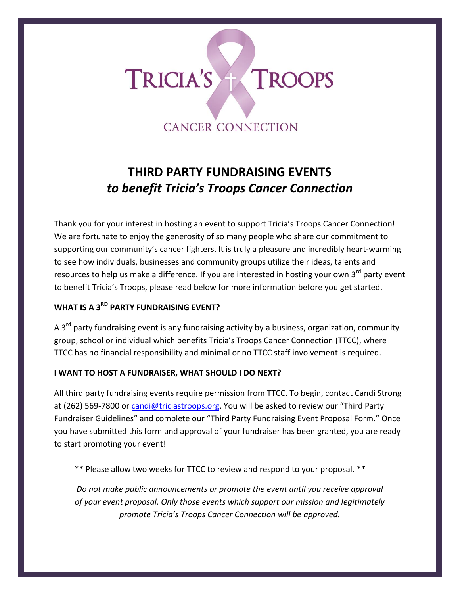# TRICIA'S + TROOPS **CANCER CONNECTION**

# **THIRD PARTY FUNDRAISING EVENTS** *to benefit Tricia's Troops Cancer Connection*

Thank you for your interest in hosting an event to support Tricia's Troops Cancer Connection! We are fortunate to enjoy the generosity of so many people who share our commitment to supporting our community's cancer fighters. It is truly a pleasure and incredibly heart-warming to see how individuals, businesses and community groups utilize their ideas, talents and resources to help us make a difference. If you are interested in hosting your own 3<sup>rd</sup> party event to benefit Tricia's Troops, please read below for more information before you get started.

# **WHAT IS A 3RD PARTY FUNDRAISING EVENT?**

A  $3<sup>rd</sup>$  party fundraising event is any fundraising activity by a business, organization, community group, school or individual which benefits Tricia's Troops Cancer Connection (TTCC), where TTCC has no financial responsibility and minimal or no TTCC staff involvement is required.

### **I WANT TO HOST A FUNDRAISER, WHAT SHOULD I DO NEXT?**

All third party fundraising events require permission from TTCC. To begin, contact Candi Strong at (262) 569-7800 or [candi@triciastroops.org.](mailto:candi@triciastroops.org) You will be asked to review our "Third Party Fundraiser Guidelines" and complete our "Third Party Fundraising Event Proposal Form." Once you have submitted this form and approval of your fundraiser has been granted, you are ready to start promoting your event!

\*\* Please allow two weeks for TTCC to review and respond to your proposal. \*\*

*Do not make public announcements or promote the event until you receive approval of your event proposal. Only those events which support our mission and legitimately promote Tricia's Troops Cancer Connection will be approved.*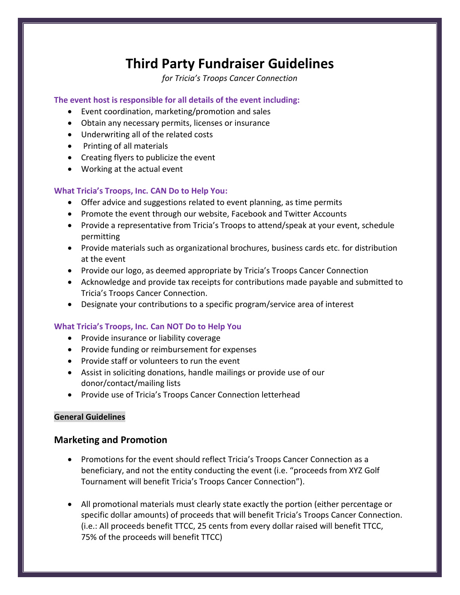# **Third Party Fundraiser Guidelines**

*for Tricia's Troops Cancer Connection*

#### **The event host is responsible for all details of the event including:**

- Event coordination, marketing/promotion and sales
- Obtain any necessary permits, licenses or insurance
- Underwriting all of the related costs
- Printing of all materials
- Creating flyers to publicize the event
- Working at the actual event

#### **What Tricia's Troops, Inc. CAN Do to Help You:**

- Offer advice and suggestions related to event planning, as time permits
- Promote the event through our website, Facebook and Twitter Accounts
- Provide a representative from Tricia's Troops to attend/speak at your event, schedule permitting
- Provide materials such as organizational brochures, business cards etc. for distribution at the event
- Provide our logo, as deemed appropriate by Tricia's Troops Cancer Connection
- Acknowledge and provide tax receipts for contributions made payable and submitted to Tricia's Troops Cancer Connection.
- Designate your contributions to a specific program/service area of interest

#### **What Tricia's Troops, Inc. Can NOT Do to Help You**

- Provide insurance or liability coverage
- Provide funding or reimbursement for expenses
- Provide staff or volunteers to run the event
- Assist in soliciting donations, handle mailings or provide use of our donor/contact/mailing lists
- Provide use of Tricia's Troops Cancer Connection letterhead

#### **General Guidelines**

#### **Marketing and Promotion**

- Promotions for the event should reflect Tricia's Troops Cancer Connection as a beneficiary, and not the entity conducting the event (i.e. "proceeds from XYZ Golf Tournament will benefit Tricia's Troops Cancer Connection").
- All promotional materials must clearly state exactly the portion (either percentage or specific dollar amounts) of proceeds that will benefit Tricia's Troops Cancer Connection. (i.e.: All proceeds benefit TTCC, 25 cents from every dollar raised will benefit TTCC, 75% of the proceeds will benefit TTCC)